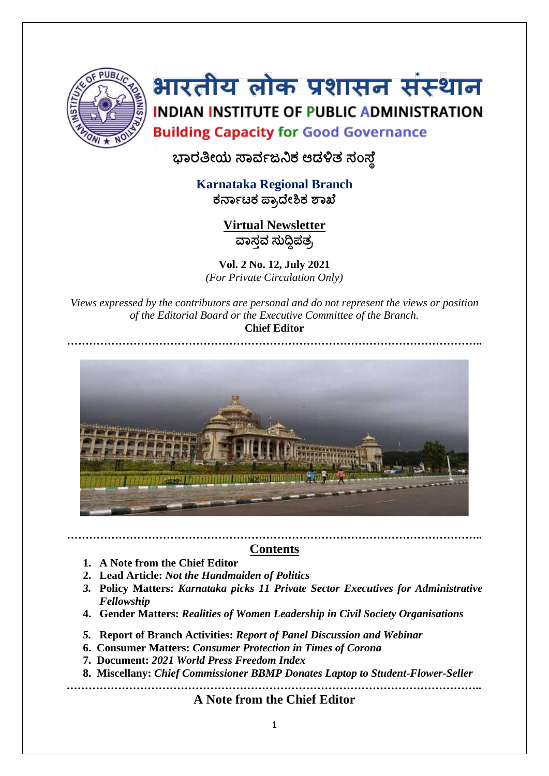

# भारतीय लोक प्रशासन संस्थान INDIAN INSTITUTE OF PUBLIC ADMINISTRATION **Building Capacity for Good Governance**

**ಭಾರತೀಯ ಸಾರ್ವಜನಿಕ ಆಡಳಿತ ಸಂಸಥೆ**

**Karnataka Regional Branch ಕರ್ಾವಟಕ ಪ್ಾಾದಥೀಶಿಕ ಶಾಖಥ**

> **Virtual Newsletter ವಾಸತರ್ ಸುದ್ದಿಪತಾ**

**Vol. 2 No. 12, July 2021** *(For Private Circulation Only)*

*Views expressed by the contributors are personal and do not represent the views or position of the Editorial Board or the Executive Committee of the Branch.* **Chief Editor**



## **………………………………………………………………………………………………….. Contents**

- **1. A Note from the Chief Editor**
- **2. Lead Article:** *Not the Handmaiden of Politics*
- *3.* **Policy Matters:** *Karnataka picks 11 Private Sector Executives for Administrative Fellowship*
- **4. Gender Matters:** *Realities of Women Leadership in Civil Society Organisations*
- *5.* **Report of Branch Activities:** *Report of Panel Discussion and Webinar*
- **6. Consumer Matters:** *Consumer Protection in Times of Corona*
- **7. Document:** *2021 World Press Freedom Index*
- **8. Miscellany:** *Chief Commissioner BBMP Donates Laptop to Student-Flower-Seller*

**…………………………………………………………………………………………………..**

**A Note from the Chief Editor**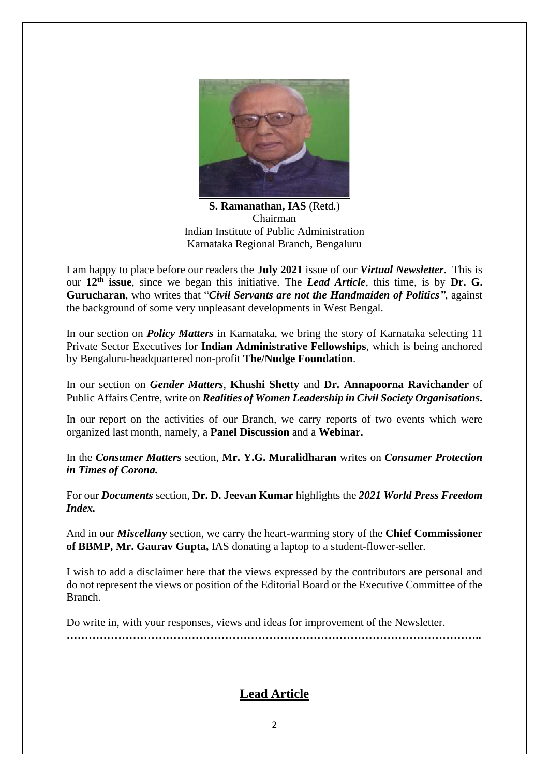

**S. Ramanathan, IAS** (Retd.) Chairman Indian Institute of Public Administration Karnataka Regional Branch, Bengaluru

I am happy to place before our readers the **July 2021** issue of our *Virtual Newsletter*. This is our 12<sup>th</sup> issue, since we began this initiative. The *Lead Article*, this time, is by Dr. G. **Gurucharan**, who writes that "*Civil Servants are not the Handmaiden of Politics"*, against the background of some very unpleasant developments in West Bengal.

In our section on *Policy Matters* in Karnataka, we bring the story of Karnataka selecting 11 Private Sector Executives for **Indian Administrative Fellowships**, which is being anchored by Bengaluru-headquartered non-profit **The/Nudge Foundation**.

In our section on *Gender Matters*, **Khushi Shetty** and **Dr. Annapoorna Ravichander** of Public Affairs Centre, write on *Realities of Women Leadership in Civil Society Organisations.*

In our report on the activities of our Branch, we carry reports of two events which were organized last month, namely, a **Panel Discussion** and a **Webinar.**

In the *Consumer Matters* section, **Mr. Y.G. Muralidharan** writes on *Consumer Protection in Times of Corona.*

For our *Documents* section, **Dr. D. Jeevan Kumar** highlights the *2021 World Press Freedom Index.*

And in our *Miscellany* section, we carry the heart-warming story of the **Chief Commissioner of BBMP, Mr. Gaurav Gupta,** IAS donating a laptop to a student-flower-seller.

I wish to add a disclaimer here that the views expressed by the contributors are personal and do not represent the views or position of the Editorial Board or the Executive Committee of the Branch.

Do write in, with your responses, views and ideas for improvement of the Newsletter. **…………………………………………………………………………………………………..**

## **Lead Article**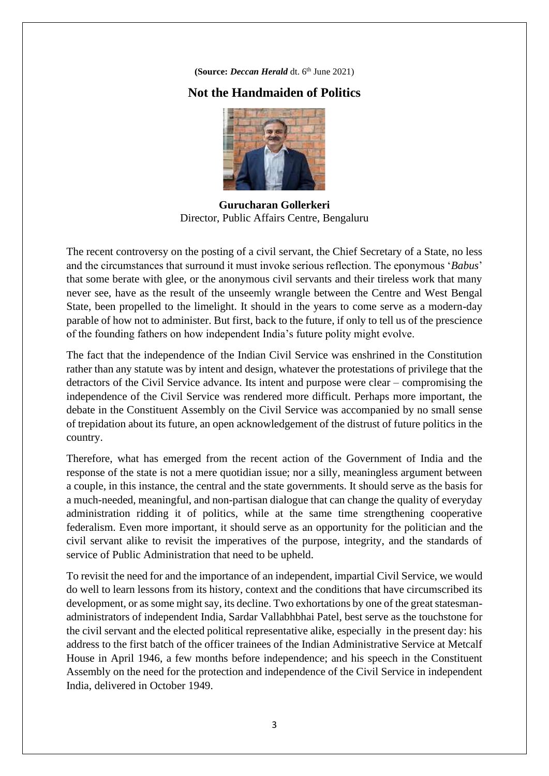**(Source:** *Deccan Herald* dt. 6<sup>th</sup> June 2021)

## **Not the Handmaiden of Politics**



**Gurucharan Gollerkeri** Director, Public Affairs Centre, Bengaluru

The recent controversy on the posting of a civil servant, the Chief Secretary of a State, no less and the circumstances that surround it must invoke serious reflection. The eponymous '*Babus*' that some berate with glee, or the anonymous civil servants and their tireless work that many never see, have as the result of the unseemly wrangle between the Centre and West Bengal State, been propelled to the limelight. It should in the years to come serve as a modern-day parable of how not to administer. But first, back to the future, if only to tell us of the prescience of the founding fathers on how independent India's future polity might evolve.

The fact that the independence of the Indian Civil Service was enshrined in the Constitution rather than any statute was by intent and design, whatever the protestations of privilege that the detractors of the Civil Service advance. Its intent and purpose were clear – compromising the independence of the Civil Service was rendered more difficult. Perhaps more important, the debate in the Constituent Assembly on the Civil Service was accompanied by no small sense of trepidation about its future, an open acknowledgement of the distrust of future politics in the country.

Therefore, what has emerged from the recent action of the Government of India and the response of the state is not a mere quotidian issue; nor a silly, meaningless argument between a couple, in this instance, the central and the state governments. It should serve as the basis for a much-needed, meaningful, and non-partisan dialogue that can change the quality of everyday administration ridding it of politics, while at the same time strengthening cooperative federalism. Even more important, it should serve as an opportunity for the politician and the civil servant alike to revisit the imperatives of the purpose, integrity, and the standards of service of Public Administration that need to be upheld.

To revisit the need for and the importance of an independent, impartial Civil Service, we would do well to learn lessons from its history, context and the conditions that have circumscribed its development, or as some might say, its decline. Two exhortations by one of the great statesmanadministrators of independent India, Sardar Vallabhbhai Patel, best serve as the touchstone for the civil servant and the elected political representative alike, especially in the present day: his address to the first batch of the officer trainees of the Indian Administrative Service at Metcalf House in April 1946, a few months before independence; and his speech in the Constituent Assembly on the need for the protection and independence of the Civil Service in independent India, delivered in October 1949.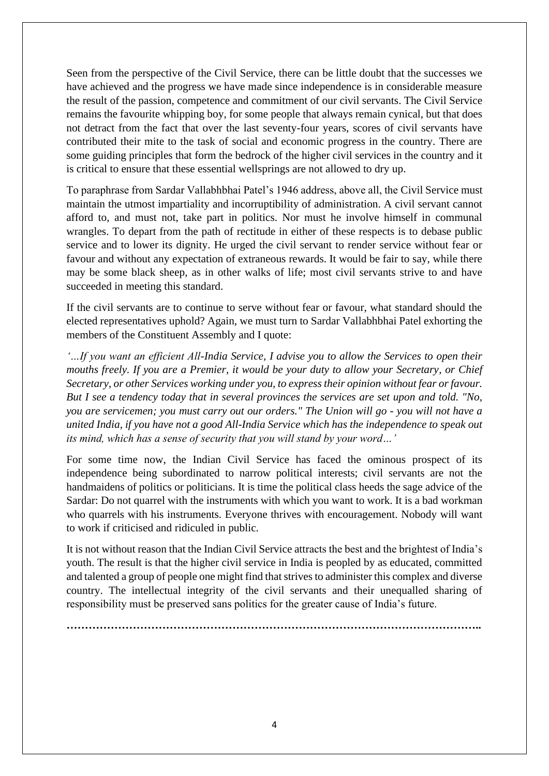Seen from the perspective of the Civil Service, there can be little doubt that the successes we have achieved and the progress we have made since independence is in considerable measure the result of the passion, competence and commitment of our civil servants. The Civil Service remains the favourite whipping boy, for some people that always remain cynical, but that does not detract from the fact that over the last seventy-four years, scores of civil servants have contributed their mite to the task of social and economic progress in the country. There are some guiding principles that form the bedrock of the higher civil services in the country and it is critical to ensure that these essential wellsprings are not allowed to dry up.

To paraphrase from Sardar Vallabhbhai Patel's 1946 address, above all, the Civil Service must maintain the utmost impartiality and incorruptibility of administration. A civil servant cannot afford to, and must not, take part in politics. Nor must he involve himself in communal wrangles. To depart from the path of rectitude in either of these respects is to debase public service and to lower its dignity. He urged the civil servant to render service without fear or favour and without any expectation of extraneous rewards. It would be fair to say, while there may be some black sheep, as in other walks of life; most civil servants strive to and have succeeded in meeting this standard.

If the civil servants are to continue to serve without fear or favour, what standard should the elected representatives uphold? Again, we must turn to Sardar Vallabhbhai Patel exhorting the members of the Constituent Assembly and I quote:

*'…If you want an efficient All-India Service, I advise you to allow the Services to open their mouths freely. If you are a Premier, it would be your duty to allow your Secretary, or Chief Secretary, or other Services working under you, to express their opinion without fear or favour. But I see a tendency today that in several provinces the services are set upon and told. "No, you are servicemen; you must carry out our orders." The Union will go - you will not have a united India, if you have not a good All-India Service which has the independence to speak out its mind, which has a sense of security that you will stand by your word…'*

For some time now, the Indian Civil Service has faced the ominous prospect of its independence being subordinated to narrow political interests; civil servants are not the handmaidens of politics or politicians. It is time the political class heeds the sage advice of the Sardar: Do not quarrel with the instruments with which you want to work. It is a bad workman who quarrels with his instruments. Everyone thrives with encouragement. Nobody will want to work if criticised and ridiculed in public.

It is not without reason that the Indian Civil Service attracts the best and the brightest of India's youth. The result is that the higher civil service in India is peopled by as educated, committed and talented a group of people one might find that strives to administer this complex and diverse country. The intellectual integrity of the civil servants and their unequalled sharing of responsibility must be preserved sans politics for the greater cause of India's future.

**…………………………………………………………………………………………………..**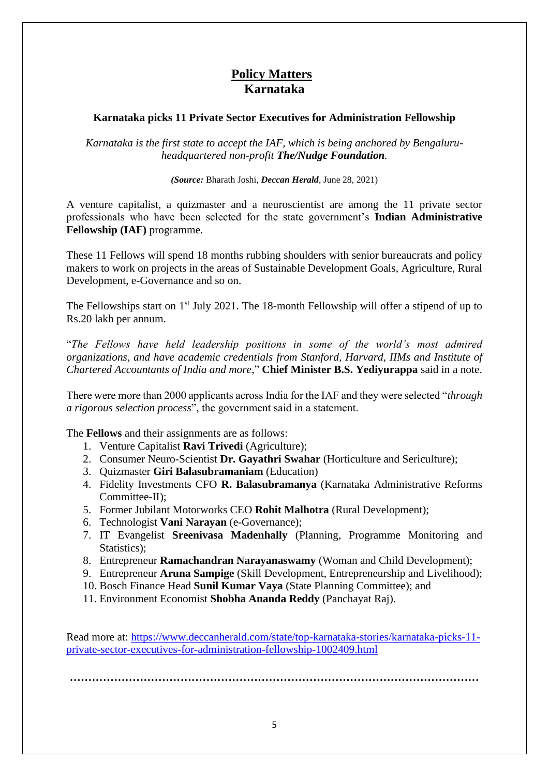# **Policy Matters Karnataka**

#### **Karnataka picks 11 Private Sector Executives for Administration Fellowship**

*Karnataka is the first state to accept the IAF, which is being anchored by Bengaluruheadquartered non-profit The/Nudge Foundation.*

*(Source:* Bharath Joshi, *Deccan Herald*, June 28, 2021)

A venture capitalist, a quizmaster and a neuroscientist are among the 11 private sector professionals who have been selected for the state government's **Indian Administrative Fellowship (IAF)** programme.

These 11 Fellows will spend 18 months rubbing shoulders with senior bureaucrats and policy makers to work on projects in the areas of Sustainable Development Goals, Agriculture, Rural Development, e-Governance and so on.

The Fellowships start on 1<sup>st</sup> July 2021. The 18-month Fellowship will offer a stipend of up to Rs.20 lakh per annum.

"*The Fellows have held leadership positions in some of the world's most admired organizations, and have academic credentials from Stanford, Harvard, IIMs and Institute of Chartered Accountants of India and more*," **Chief Minister B.S. Yediyurappa** said in a note.

There were more than 2000 applicants across India for the IAF and they were selected "*through a rigorous selection process*", the government said in a statement.

The **Fellows** and their assignments are as follows:

- 1. Venture Capitalist **Ravi Trivedi** (Agriculture);
- 2. Consumer Neuro-Scientist **Dr. Gayathri Swahar** (Horticulture and Sericulture);
- 3. Quizmaster **Giri Balasubramaniam** (Education)
- 4. Fidelity Investments CFO **R. Balasubramanya** (Karnataka Administrative Reforms Committee-II);
- 5. Former Jubilant Motorworks CEO **Rohit Malhotra** (Rural Development);
- 6. Technologist **Vani Narayan** (e-Governance);
- 7. IT Evangelist **Sreenivasa Madenhally** (Planning, Programme Monitoring and Statistics);
- 8. Entrepreneur **Ramachandran Narayanaswamy** (Woman and Child Development);
- 9. Entrepreneur **Aruna Sampige** (Skill Development, Entrepreneurship and Livelihood);
- 10. Bosch Finance Head **Sunil Kumar Vaya** (State Planning Committee); and
- 11. Environment Economist **Shobha Ananda Reddy** (Panchayat Raj).

Read more at: [https://www.deccanherald.com/state/top-karnataka-stories/karnataka-picks-11](https://www.deccanherald.com/state/top-karnataka-stories/karnataka-picks-11-private-sector-executives-for-administration-fellowship-1002409.html) [private-sector-executives-for-administration-fellowship-1002409.html](https://www.deccanherald.com/state/top-karnataka-stories/karnataka-picks-11-private-sector-executives-for-administration-fellowship-1002409.html)

**…………………………………………………………………………………………………**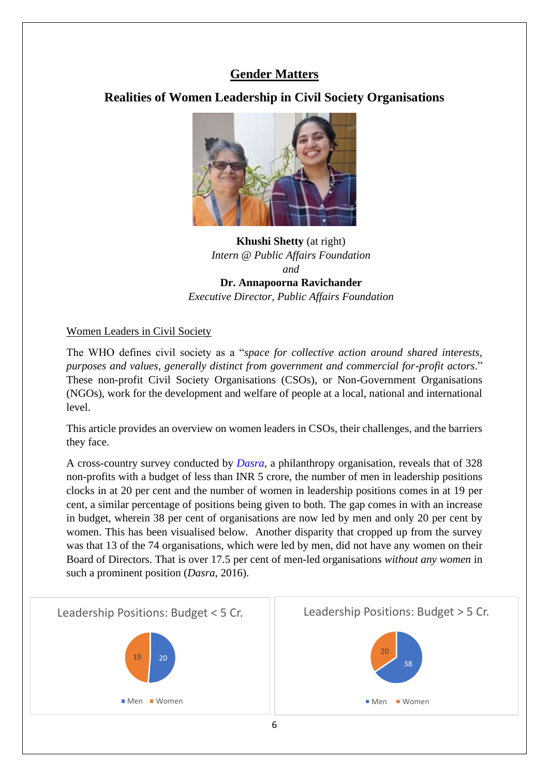# **Gender Matters**

# **Realities of Women Leadership in Civil Society Organisations**



## **Khushi Shetty** (at right) *Intern @ Public Affairs Foundation and* **Dr. Annapoorna Ravichander** *Executive Director, Public Affairs Foundation*

#### Women Leaders in Civil Society

The WHO defines civil society as a "*space for collective action around shared interests, purposes and values, generally distinct from government and commercial for-profit actors*." These non-profit Civil Society Organisations (CSOs), or Non-Government Organisations (NGOs), work for the development and welfare of people at a local, national and international level.

This article provides an overview on women leaders in CSOs, their challenges, and the barriers they face.

A cross-country survey conducted by *[Dasra](https://www.dasra.org/)*, a philanthropy organisation, reveals that of 328 non-profits with a budget of less than INR 5 crore, the number of men in leadership positions clocks in at 20 per cent and the number of women in leadership positions comes in at 19 per cent, a similar percentage of positions being given to both. The gap comes in with an increase in budget, wherein 38 per cent of organisations are now led by men and only 20 per cent by women. This has been visualised below. Another disparity that cropped up from the survey was that 13 of the 74 organisations, which were led by men, did not have any women on their Board of Directors. That is over 17.5 per cent of men-led organisations *without any women* in such a prominent position (*Dasra*, 2016).

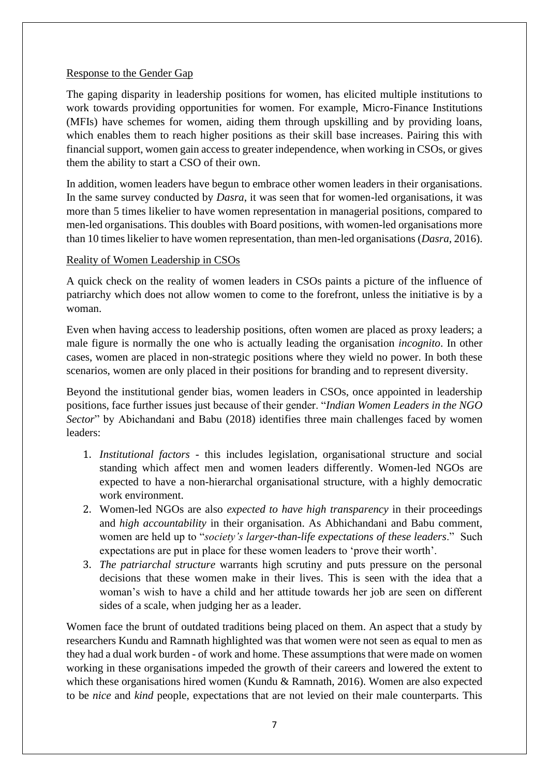#### Response to the Gender Gap

The gaping disparity in leadership positions for women, has elicited multiple institutions to work towards providing opportunities for women. For example, Micro-Finance Institutions (MFIs) have schemes for women, aiding them through upskilling and by providing loans, which enables them to reach higher positions as their skill base increases. Pairing this with financial support, women gain access to greater independence, when working in CSOs, or gives them the ability to start a CSO of their own.

In addition, women leaders have begun to embrace other women leaders in their organisations. In the same survey conducted by *Dasra*, it was seen that for women-led organisations, it was more than 5 times likelier to have women representation in managerial positions, compared to men-led organisations. This doubles with Board positions, with women-led organisations more than 10 times likelier to have women representation, than men-led organisations (*Dasra*, 2016).

#### Reality of Women Leadership in CSOs

A quick check on the reality of women leaders in CSOs paints a picture of the influence of patriarchy which does not allow women to come to the forefront, unless the initiative is by a woman.

Even when having access to leadership positions, often women are placed as proxy leaders; a male figure is normally the one who is actually leading the organisation *incognito*. In other cases, women are placed in non-strategic positions where they wield no power. In both these scenarios, women are only placed in their positions for branding and to represent diversity.

Beyond the institutional gender bias, women leaders in CSOs, once appointed in leadership positions, face further issues just because of their gender. "*Indian Women Leaders in the NGO Sector*" by Abichandani and Babu (2018) identifies three main challenges faced by women leaders:

- 1. *Institutional factors* this includes legislation, organisational structure and social standing which affect men and women leaders differently. Women-led NGOs are expected to have a non-hierarchal organisational structure, with a highly democratic work environment.
- 2. Women-led NGOs are also *expected to have high transparency* in their proceedings and *high accountability* in their organisation. As Abhichandani and Babu comment, women are held up to "*society's larger-than-life expectations of these leaders*." Such expectations are put in place for these women leaders to 'prove their worth'.
- 3. *The patriarchal structure* warrants high scrutiny and puts pressure on the personal decisions that these women make in their lives. This is seen with the idea that a woman's wish to have a child and her attitude towards her job are seen on different sides of a scale, when judging her as a leader.

Women face the brunt of outdated traditions being placed on them. An aspect that a study by researchers Kundu and Ramnath highlighted was that women were not seen as equal to men as they had a dual work burden - of work and home. These assumptions that were made on women working in these organisations impeded the growth of their careers and lowered the extent to which these organisations hired women (Kundu & Ramnath, 2016). Women are also expected to be *nice* and *kind* people, expectations that are not levied on their male counterparts. This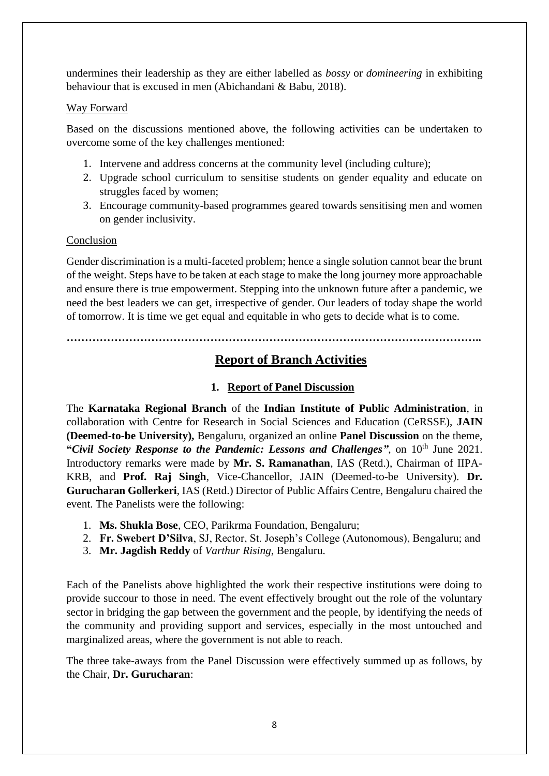undermines their leadership as they are either labelled as *bossy* or *domineering* in exhibiting behaviour that is excused in men (Abichandani & Babu, 2018).

#### Way Forward

Based on the discussions mentioned above, the following activities can be undertaken to overcome some of the key challenges mentioned:

- 1. Intervene and address concerns at the community level (including culture);
- 2. Upgrade school curriculum to sensitise students on gender equality and educate on struggles faced by women;
- 3. Encourage community-based programmes geared towards sensitising men and women on gender inclusivity.

#### Conclusion

Gender discrimination is a multi-faceted problem; hence a single solution cannot bear the brunt of the weight. Steps have to be taken at each stage to make the long journey more approachable and ensure there is true empowerment. Stepping into the unknown future after a pandemic, we need the best leaders we can get, irrespective of gender. Our leaders of today shape the world of tomorrow. It is time we get equal and equitable in who gets to decide what is to come.

**…………………………………………………………………………………………………..**

# **Report of Branch Activities**

## **1. Report of Panel Discussion**

The **Karnataka Regional Branch** of the **Indian Institute of Public Administration**, in collaboration with Centre for Research in Social Sciences and Education (CeRSSE), **JAIN (Deemed-to-be University),** Bengaluru, organized an online **Panel Discussion** on the theme, **"Civil Society Response to the Pandemic: Lessons and Challenges", on 10<sup>th</sup> June 2021.** Introductory remarks were made by **Mr. S. Ramanathan**, IAS (Retd.), Chairman of IIPA-KRB, and **Prof. Raj Singh**, Vice-Chancellor, JAIN (Deemed-to-be University). **Dr. Gurucharan Gollerkeri**, IAS (Retd.) Director of Public Affairs Centre, Bengaluru chaired the event. The Panelists were the following:

- 1. **Ms. Shukla Bose**, CEO, Parikrma Foundation, Bengaluru;
- 2. **Fr. Swebert D'Silva**, SJ, Rector, St. Joseph's College (Autonomous), Bengaluru; and
- 3. **Mr. Jagdish Reddy** of *Varthur Rising*, Bengaluru.

Each of the Panelists above highlighted the work their respective institutions were doing to provide succour to those in need. The event effectively brought out the role of the voluntary sector in bridging the gap between the government and the people, by identifying the needs of the community and providing support and services, especially in the most untouched and marginalized areas, where the government is not able to reach.

The three take-aways from the Panel Discussion were effectively summed up as follows, by the Chair, **Dr. Gurucharan**: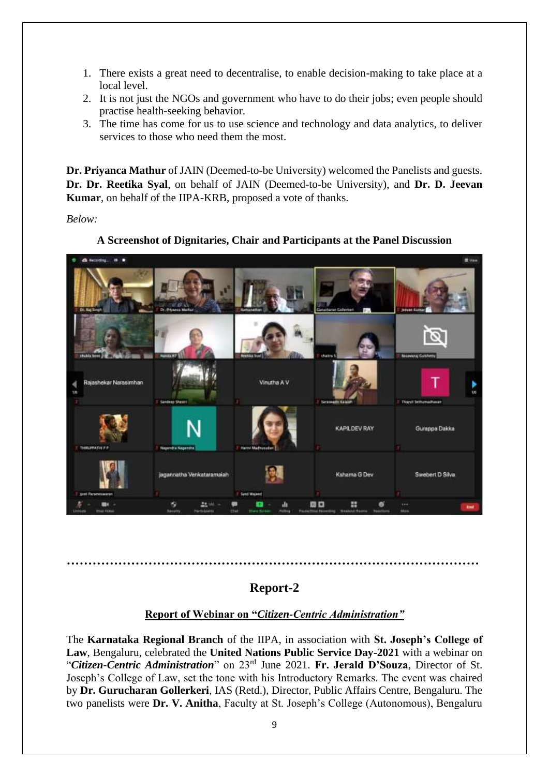- 1. There exists a great need to decentralise, to enable decision-making to take place at a local level.
- 2. It is not just the NGOs and government who have to do their jobs; even people should practise health-seeking behavior.
- 3. The time has come for us to use science and technology and data analytics, to deliver services to those who need them the most.

**Dr. Priyanca Mathur** of JAIN (Deemed-to-be University) welcomed the Panelists and guests. **Dr. Dr. Reetika Syal**, on behalf of JAIN (Deemed-to-be University), and **Dr. D. Jeevan Kumar**, on behalf of the IIPA-KRB, proposed a vote of thanks.

*Below:*

**A Screenshot of Dignitaries, Chair and Participants at the Panel Discussion**



## **Report-2**

**……………………………………………………………………………………**

#### **Report of Webinar on "***Citizen-Centric Administration"*

The **Karnataka Regional Branch** of the IIPA, in association with **St. Joseph's College of Law**, Bengaluru, celebrated the **United Nations Public Service Day-2021** with a webinar on "*Citizen-Centric Administration*" on 23rd June 2021. **Fr. Jerald D'Souza**, Director of St. Joseph's College of Law, set the tone with his Introductory Remarks. The event was chaired by **Dr. Gurucharan Gollerkeri**, IAS (Retd.), Director, Public Affairs Centre, Bengaluru. The two panelists were **Dr. V. Anitha**, Faculty at St. Joseph's College (Autonomous), Bengaluru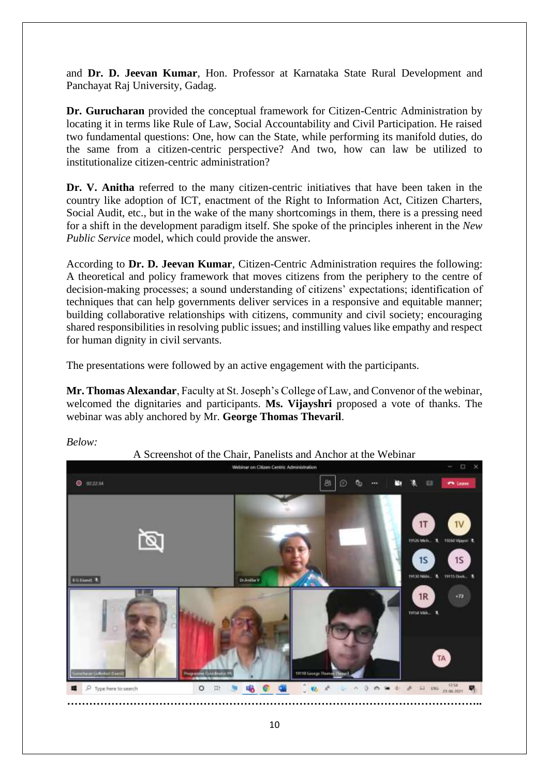and **Dr. D. Jeevan Kumar**, Hon. Professor at Karnataka State Rural Development and Panchayat Raj University, Gadag.

**Dr. Gurucharan** provided the conceptual framework for Citizen-Centric Administration by locating it in terms like Rule of Law, Social Accountability and Civil Participation. He raised two fundamental questions: One, how can the State, while performing its manifold duties, do the same from a citizen-centric perspective? And two, how can law be utilized to institutionalize citizen-centric administration?

**Dr. V. Anitha** referred to the many citizen-centric initiatives that have been taken in the country like adoption of ICT, enactment of the Right to Information Act, Citizen Charters, Social Audit, etc., but in the wake of the many shortcomings in them, there is a pressing need for a shift in the development paradigm itself. She spoke of the principles inherent in the *New Public Service* model, which could provide the answer.

According to **Dr. D. Jeevan Kumar**, Citizen-Centric Administration requires the following: A theoretical and policy framework that moves citizens from the periphery to the centre of decision-making processes; a sound understanding of citizens' expectations; identification of techniques that can help governments deliver services in a responsive and equitable manner; building collaborative relationships with citizens, community and civil society; encouraging shared responsibilities in resolving public issues; and instilling values like empathy and respect for human dignity in civil servants.

The presentations were followed by an active engagement with the participants.

**Mr. Thomas Alexandar**, Faculty at St. Joseph's College of Law, and Convenor of the webinar, welcomed the dignitaries and participants. **Ms. Vijayshri** proposed a vote of thanks. The webinar was ably anchored by Mr. **George Thomas Thevaril**.



*Below:*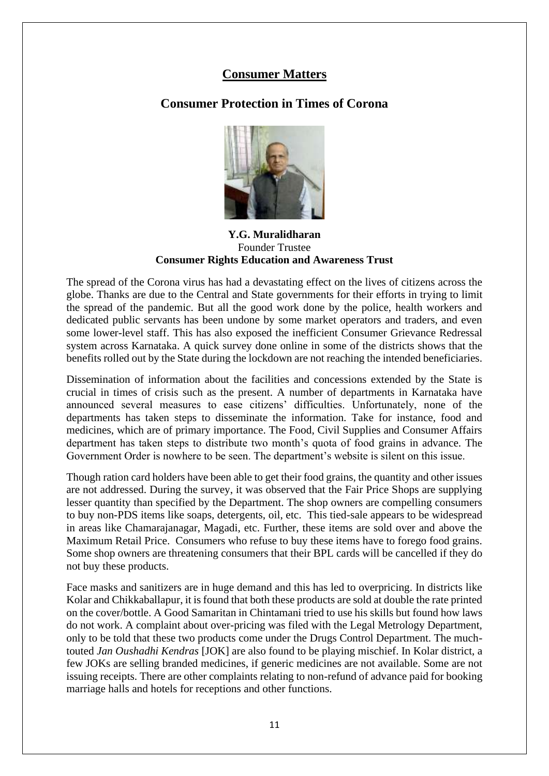## **Consumer Matters**

# **Consumer Protection in Times of Corona**



**Y.G. Muralidharan** Founder Trustee **Consumer Rights Education and Awareness Trust** 

The spread of the Corona virus has had a devastating effect on the lives of citizens across the globe. Thanks are due to the Central and State governments for their efforts in trying to limit the spread of the pandemic. But all the good work done by the police, health workers and dedicated public servants has been undone by some market operators and traders, and even some lower-level staff. This has also exposed the inefficient Consumer Grievance Redressal system across Karnataka. A quick survey done online in some of the districts shows that the benefits rolled out by the State during the lockdown are not reaching the intended beneficiaries.

Dissemination of information about the facilities and concessions extended by the State is crucial in times of crisis such as the present. A number of departments in Karnataka have announced several measures to ease citizens' difficulties. Unfortunately, none of the departments has taken steps to disseminate the information. Take for instance, food and medicines, which are of primary importance. The Food, Civil Supplies and Consumer Affairs department has taken steps to distribute two month's quota of food grains in advance. The Government Order is nowhere to be seen. The department's website is silent on this issue.

Though ration card holders have been able to get their food grains, the quantity and other issues are not addressed. During the survey, it was observed that the Fair Price Shops are supplying lesser quantity than specified by the Department. The shop owners are compelling consumers to buy non-PDS items like soaps, detergents, oil, etc. This tied-sale appears to be widespread in areas like Chamarajanagar, Magadi, etc. Further, these items are sold over and above the Maximum Retail Price. Consumers who refuse to buy these items have to forego food grains. Some shop owners are threatening consumers that their BPL cards will be cancelled if they do not buy these products.

Face masks and sanitizers are in huge demand and this has led to overpricing. In districts like Kolar and Chikkaballapur, it is found that both these products are sold at double the rate printed on the cover/bottle. A Good Samaritan in Chintamani tried to use his skills but found how laws do not work. A complaint about over-pricing was filed with the Legal Metrology Department, only to be told that these two products come under the Drugs Control Department. The muchtouted *Jan Oushadhi Kendras* [JOK] are also found to be playing mischief. In Kolar district, a few JOKs are selling branded medicines, if generic medicines are not available. Some are not issuing receipts. There are other complaints relating to non-refund of advance paid for booking marriage halls and hotels for receptions and other functions.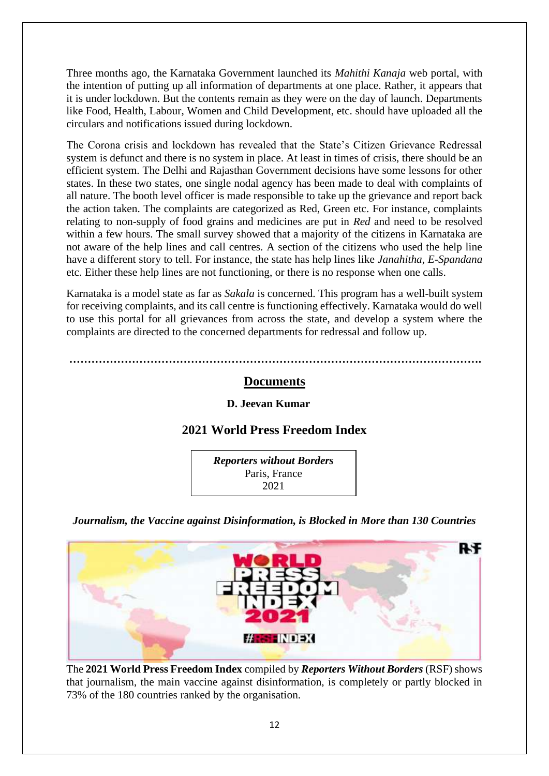Three months ago, the Karnataka Government launched its *Mahithi Kanaja* web portal, with the intention of putting up all information of departments at one place. Rather, it appears that it is under lockdown. But the contents remain as they were on the day of launch. Departments like Food, Health, Labour, Women and Child Development, etc. should have uploaded all the circulars and notifications issued during lockdown.

The Corona crisis and lockdown has revealed that the State's Citizen Grievance Redressal system is defunct and there is no system in place. At least in times of crisis, there should be an efficient system. The Delhi and Rajasthan Government decisions have some lessons for other states. In these two states, one single nodal agency has been made to deal with complaints of all nature. The booth level officer is made responsible to take up the grievance and report back the action taken. The complaints are categorized as Red, Green etc. For instance, complaints relating to non-supply of food grains and medicines are put in *Red* and need to be resolved within a few hours. The small survey showed that a majority of the citizens in Karnataka are not aware of the help lines and call centres. A section of the citizens who used the help line have a different story to tell. For instance, the state has help lines like *Janahitha, E-Spandana* etc. Either these help lines are not functioning, or there is no response when one calls.

Karnataka is a model state as far as *Sakala* is concerned. This program has a well-built system for receiving complaints, and its call centre is functioning effectively. Karnataka would do well to use this portal for all grievances from across the state, and develop a system where the complaints are directed to the concerned departments for redressal and follow up.

**………………………………………………………………………………………………….**

#### **Documents**

#### **D. Jeevan Kumar**

## **2021 World Press Freedom Index**



*Journalism, the Vaccine against Disinformation, is Blocked in More than 130 Countries*



The **2021 World Press Freedom Index** compiled by *Reporters Without Borders* (RSF) shows that journalism, the main vaccine against disinformation, is completely or partly blocked in 73% of the 180 countries ranked by the organisation.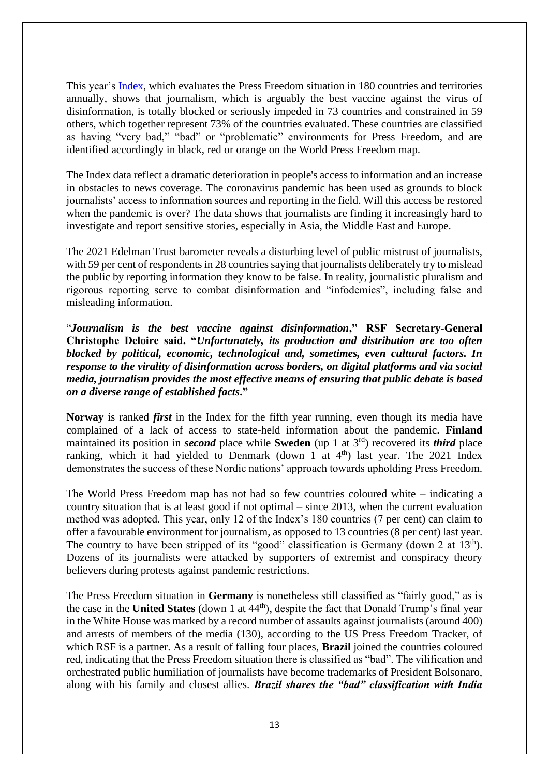This [year's](https://rsf.org/en/ranking) Index, which evaluates the Press Freedom situation in 180 countries and territories annually, shows that journalism, which is arguably the best vaccine against the virus of disinformation, is totally blocked or seriously impeded in 73 countries and constrained in 59 others, which together represent 73% of the countries evaluated. These countries are classified as having "very bad," "bad" or "problematic" environments for Press Freedom, and are identified accordingly in black, red or orange on the World Press Freedom map.

The Index data reflect a dramatic deterioration in people's access to information and an increase in obstacles to news coverage. The coronavirus pandemic has been used as grounds to block journalists' access to information sources and reporting in the field. Will this access be restored when the pandemic is over? The data shows that journalists are finding it increasingly hard to investigate and report sensitive stories, especially in Asia, the Middle East and Europe.

The 2021 Edelman Trust barometer reveals a disturbing level of public mistrust of journalists, with 59 per cent of respondents in 28 countries saying that journalists deliberately try to mislead the public by reporting information they know to be false. In reality, journalistic pluralism and rigorous reporting serve to combat disinformation and "infodemics", including false and misleading information.

"*Journalism is the best vaccine against disinformation***," RSF Secretary-General Christophe Deloire said. "***Unfortunately, its production and distribution are too often blocked by political, economic, technological and, sometimes, even cultural factors. In response to the virality of disinformation across borders, on digital platforms and via social media, journalism provides the most effective means of ensuring that public debate is based on a diverse range of established facts***."**

**Norway** is ranked *first* in the Index for the fifth year running, even though its media have complained of a lack of access to state-held information about the pandemic. **Finland** maintained its position in *second* place while **Sweden** (up 1 at 3rd) recovered its *third* place ranking, which it had yielded to Denmark (down 1 at  $4<sup>th</sup>$ ) last year. The 2021 Index demonstrates the success of these Nordic nations' approach towards upholding Press Freedom.

The World Press Freedom map has not had so few countries coloured white – indicating a country situation that is at least good if not optimal – since 2013, when the current evaluation method was adopted. This year, only 12 of the Index's 180 countries (7 per cent) can claim to offer a favourable environment for journalism, as opposed to 13 countries (8 per cent) last year. The country to have been stripped of its "good" classification is Germany (down 2 at 13<sup>th</sup>). Dozens of its journalists were attacked by supporters of extremist and conspiracy theory believers during protests against pandemic restrictions.

The Press Freedom situation in **Germany** is nonetheless still classified as "fairly good," as is the case in the **United States** (down 1 at 44<sup>th</sup>), despite the fact that Donald Trump's final year in the White House was marked by a record number of assaults against journalists (around 400) and arrests of members of the media (130), according to the US Press Freedom Tracker, of which RSF is a partner. As a result of falling four places, **Brazil** joined the countries coloured red, indicating that the Press Freedom situation there is classified as "bad". The vilification and orchestrated public humiliation of journalists have become trademarks of President Bolsonaro, along with his family and closest allies. *Brazil shares the "bad" classification with India*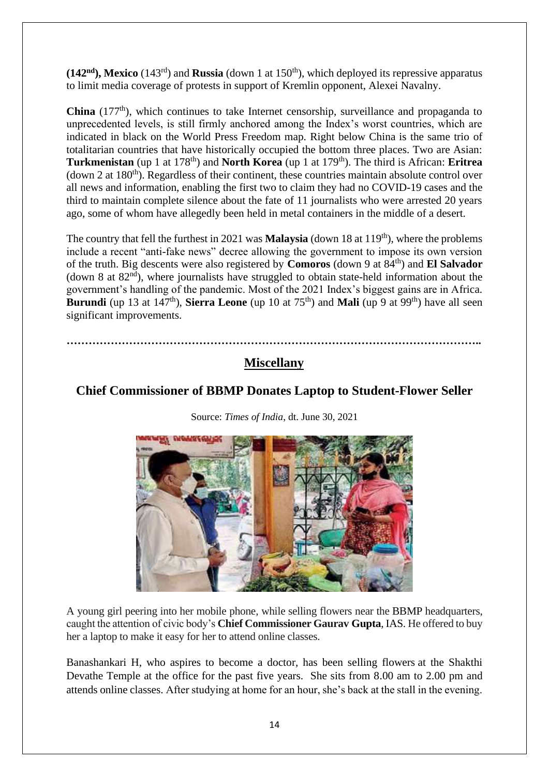$(142<sup>nd</sup>)$ , **Mexico** (143<sup>rd</sup>) and **Russia** (down 1 at 150<sup>th</sup>), which deployed its repressive apparatus to limit media coverage of protests in support of Kremlin opponent, Alexei Navalny.

**China** (177<sup>th</sup>), which continues to take Internet censorship, surveillance and propaganda to unprecedented levels, is still firmly anchored among the Index's worst countries, which are indicated in black on the World Press Freedom map. Right below China is the same trio of totalitarian countries that have historically occupied the bottom three places. Two are Asian: **Turkmenistan** (up 1 at 178th) and **North Korea** (up 1 at 179th). The third is African: **Eritrea** (down 2 at  $180<sup>th</sup>$ ). Regardless of their continent, these countries maintain absolute control over all news and information, enabling the first two to claim they had no COVID-19 cases and the third to maintain complete silence about the fate of 11 journalists who were arrested 20 years ago, some of whom have allegedly been held in metal containers in the middle of a desert.

The country that fell the furthest in 2021 was **Malaysia** (down 18 at  $119<sup>th</sup>$ ), where the problems include a recent "anti-fake news" decree allowing the government to impose its own version of the truth. Big descents were also registered by **Comoros** (down 9 at 84th) and **El Salvador** (down 8 at  $82<sup>nd</sup>$ ), where journalists have struggled to obtain state-held information about the government's handling of the pandemic. Most of the 2021 Index's biggest gains are in Africa. **Burundi** (up 13 at  $147<sup>th</sup>$ ), **Sierra Leone** (up 10 at  $75<sup>th</sup>$ ) and **Mali** (up 9 at 99<sup>th</sup>) have all seen significant improvements.

**…………………………………………………………………………………………………..**

# **Miscellany**

# **Chief Commissioner of BBMP Donates Laptop to Student-Flower Seller**



Source: *Times of India*, dt. June 30, 2021

A young girl peering into her mobile phone, while selling flowers near the [BBMP](https://timesofindia.indiatimes.com/topic/BBMP) headquarters, caught the attention of civic body's **Chief Commissioner Gaurav [Gupta](https://timesofindia.indiatimes.com/topic/Gupta)**, IAS. He offered to buy her a laptop to make it easy for her to attend online classes.

Banashankari H, who aspires to become a doctor, has been selling flowers at the Shakthi Devathe Temple at the office for the past five years. She sits from 8.00 am to 2.00 pm and attends online classes. After studying at home for an hour, she's back at the stall in the evening.